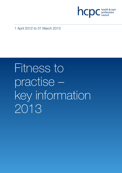

1 April 2012 to 31 March 2013

# Fitness to practise – key information 2013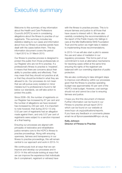### Executive summary

Welcome to this summary of key information about the Health and Care Professions Council's (HCPC's) work in considering allegations about the fitness to practise of our registrants. This summary includes key statistics relating to our cases and information about how our fitness to practise panels have dealt with the cases before them. This key information document covers the period 1 April 2012 to 31 March 2013.

Our fitness to practise process is designed to protect the public from those professionals on our Register who are not fit to practise. If a professional's fitness to practise is 'impaired', it means that there are concerns about their ability to practise safely and effectively. That may mean that they should not practice at all, or that they should be limited in what they are allowed to do. Our processes do not mean that we will pursue every isolated or minor mistake but if a professional is found to fall below our standards, we will take action to protect the public.

Since 2008–09, the number of registrants on our Register has increased by 67 per cent and the number of allegations we have received has increased by 240 per cent. It is important to note however, that during 2012–13 only 0.52 per cent of registrants had an allegation made against them, and only 0.07 per cent of registrants were subject to a sanction imposed at a final hearing.

Ensuring our processes are aligned with principles of restorative and rehabilitative justice remains core to the HCPC's fitness to practise proceedings. Along with ensuring openness, fairness and transparency in our fitness to practise proceedings, this will remain central to our approach and work in 2013–14.

We continuously look at ways that we can improve and develop our processes and in 2013–14 this will include looking at ways that we can improve the experience that individuals (be it complainant, registrant or witness) have

with the fitness to practise process. This is to ensure fairness and justice to all those that have cause to interact with it. We are also carefully considering the recommendations of the report of the Public Inquiry into failings in care at the Mid Staffordshire NHS Foundation Trust and the action we might take in relation to implementing those recommendations.

In 2013–14 we will also start a pilot to assess the use and value of mediation in our regulatory processes. This forms part of our commitment to look at alternative mechanisms for resolving cases whilst at the same time ensuring the rights of the registrant are balanced with our overriding objective of public protection.

We are also continuing to take stringent steps to improve cost efficiency within our processes given that the fitness to practise operating budget was approximately 45 per cent of the HCPC's total budget. However, cost savings should not and cannot be a bar to ensuring fairness and justice.

I hope you find this document of interest. Further information can be found in our Fitness to practise annual report 2013 which can be found on our website at www.hcpc-uk.org/publications/reports. If you have any feedback or comments please email me at ftpnoncaserelated@hcpc-uk.org

#### Kelly Johnson Director of Fitness to Practise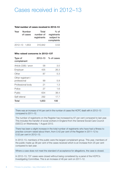## Cases received in 2012–13

#### **Total number of cases received in 2012–13**

| Year |          | <b>Number</b> | <b>Total</b> | $%$ of      |  |  |
|------|----------|---------------|--------------|-------------|--|--|
|      | of cases |               | number of    | registrants |  |  |
|      |          |               | registrants  | subject to  |  |  |
|      |          |               |              | complaints  |  |  |
|      |          |               |              |             |  |  |

#### **Who raised concerns in 2012–13?**

| Type of<br>complainant             | 2012–13 | % of cases |
|------------------------------------|---------|------------|
| Article 22(6) / anon               | 58      | 3.5        |
| Employer                           | 435     | 26.3       |
| Other                              | 87      | 5.3        |
| Other registrant /<br>professional | 99      | 5.9        |
| Professional body                  | 21      | 1.3        |
| Police                             | 27      | 1.6        |
| Public                             | 634     | 38.4       |
| Self referral                      | 292     | 17.7       |
| Total                              | 1,653   | 100        |

There was an increase of 44 per cent in the number of cases the HCPC dealt with in 2012–13 compared to 2011–12.

The number of registrants on the Register has increased by 67 per cent compared to last year. This includes the transfer of social workers in England from the General Social Care Council (GSCC) on Wednesday 1 August 2012.

There has been a slight increase in the total number of registrants who have had a fitness to practise concern raised about them, from 0.42 per cent of the Register in 2011–12 to 0.52 per cent in 2012–13.

In 2012–13, members of the public were the largest complainant group. This year, members of the public made up 38 per cent of the cases received which is an increase from 25 per cent compared to last year.

Where a case does not meet the standard of acceptance for allegations, the case is closed.

In 2012–13, 737 cases were closed without being considered by a panel of the HCPC's Investigating Committee. This is an increase of 46 per cent on 2011–12.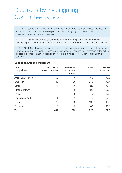## Decisions by Investigating Committee panels

In 2012–13, panels of the Investigating Committee made decisions in 563 cases. The case to answer rate for cases considered by panels of the Investigating Committee is 58 per cent, an increase of seven per cent from last year.

In 2012–13, 256 fitness to practise concerns received from employers were heard by an Investigating Committee Panel (ICP). Of those, 73 per cent received a 'case to answer' decision.

In 2012–13, 108 of the cases considered by an ICP were received from members of the public. However, only 18.5 per cent of fitness to practise concerns received from members of the public resulted in a 'case to answer' decision at ICP. This is a increase of 1.5 per cent compared to last year.

#### **Case to answer by complainant**

| Type of<br>complainant | Number of<br>case to answer | Number of<br>no case to<br>answer | <b>Total</b>   | $%$ case<br>to answer |
|------------------------|-----------------------------|-----------------------------------|----------------|-----------------------|
| Article 22(6) / anon   | 52                          | 16                                | 68             | 76.5                  |
| Employer               | 188                         | 68                                | 256            | 73.4                  |
| Other                  | 14                          | 6                                 | 20             | 70                    |
| Other registrant       | 6                           | 16                                | 22             | 27.3                  |
| Police                 | 7                           | 8                                 | 15             | 46.7                  |
| Professional body      |                             |                                   | $\overline{2}$ | 50                    |
| Public                 | 20                          | 88                                | 108            | 18.5                  |
| Self referral          | 13                          | 19                                | 32             | 40.6                  |
| <b>Total</b>           | 301                         | 222                               | 523            | 57.6                  |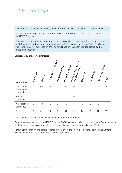## Final hearings

Two hundred and twenty eight cases were concluded in 2012–13, involving 226 registrants.

Hearings where allegations were well founded concerned only 0.07 per cent of registrants on the HCPC Register.

Decisions from all public hearings where fitness to practise is considered to be impaired are published on our website at www.hcpc-uk.org. Details of cases that are considered to be not well founded are not published on the HCPC website unless specifically requested by the registrant concerned.

#### **Outcome by type of committee**

| Committee                              | Amended       | Caution        | Conditions of practice | No further action | Not well founded | Removed (incorrect)<br>fraudulent entry | Struck off     | Suspension     | Voluntary removal | Total        |
|----------------------------------------|---------------|----------------|------------------------|-------------------|------------------|-----------------------------------------|----------------|----------------|-------------------|--------------|
| Conduct and<br>Competence<br>Committee | $\mathcal{O}$ | 40             | 14                     | 1                 | 53               | $\mathcal{O}$                           | 44             | 61             | 12                | 225          |
| Health<br>Committee                    | $\circ$       |                | $\overline{O}$         | $\overline{O}$    | 1                | $\mathcal{O}$                           | $\overline{O}$ | $\overline{O}$ | $\overline{O}$    | $\mathbf{2}$ |
| Investigating<br>Committee             | $\mathcal{O}$ | $\overline{O}$ | $\overline{0}$         | $\overline{O}$    | $\overline{O}$   |                                         | $\overline{0}$ | $\overline{O}$ | $\overline{O}$    |              |
| <b>Total</b>                           | $\mathbf 0$   | 41             | 14                     | 1                 | 54               |                                         | 44             | 61             | 12                | 228          |

This table does not include cases that were adjourned or part heard.

Cases that were referred to the HCPC from the GSCC are not included in this document. For information on these cases refer to Appendix three of the full Fitness to practise annual report 2013.

For further information and details regarding the work of the HCPC's Fitness to Practise Department, please see the full Fitness to practise annual report 2013.